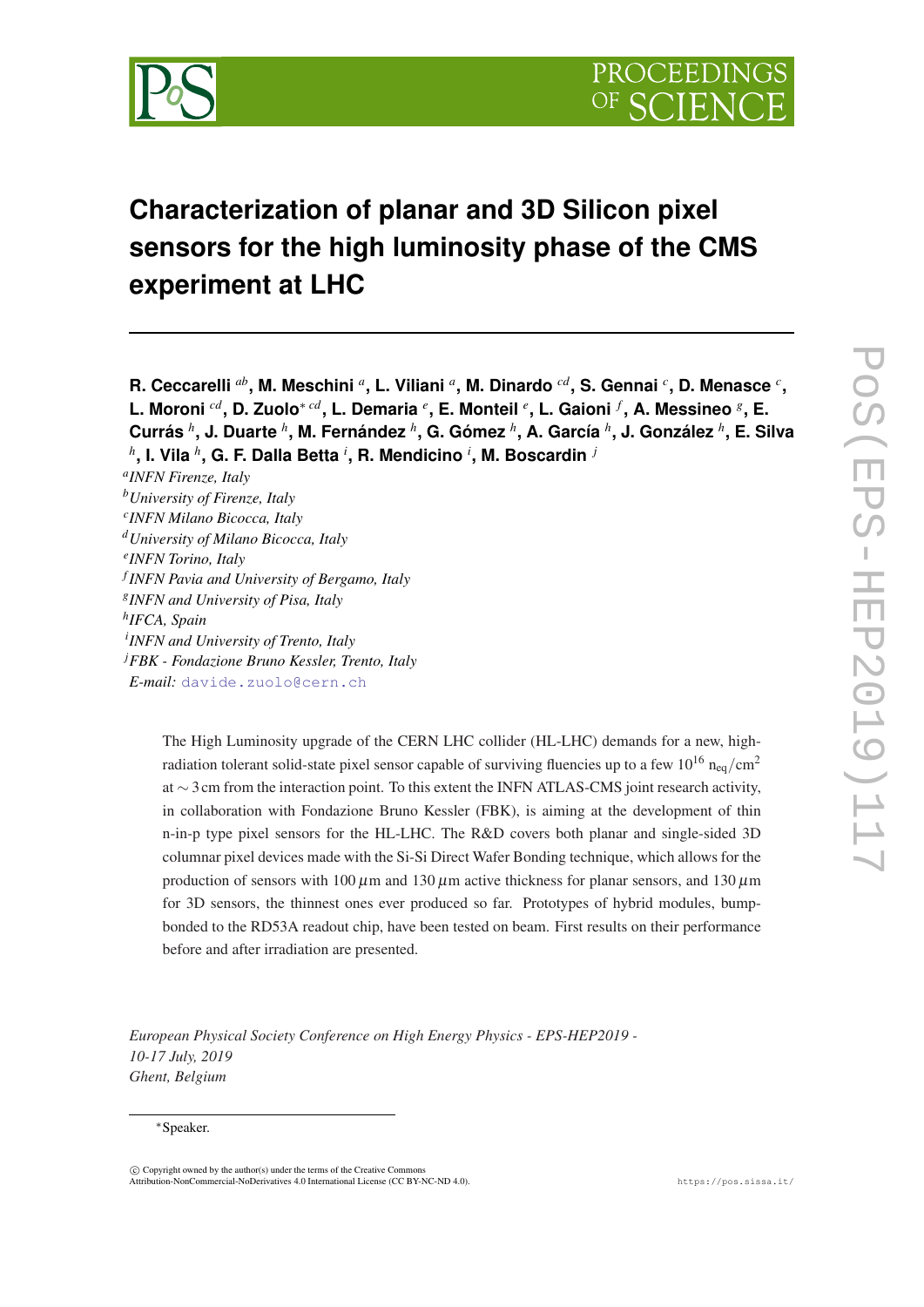

# **Characterization of planar and 3D Silicon pixel sensors for the high luminosity phase of the CMS experiment at LHC**

**R. Ceccarelli** *ab***, M. Meschini** *<sup>a</sup>* **, L. Viliani** *<sup>a</sup>* **, M. Dinardo** *cd***, S. Gennai** *<sup>c</sup>* **, D. Menasce** *<sup>c</sup>* **, L. Moroni** *cd***, D. Zuolo**<sup>∗</sup> *cd***, L. Demaria** *<sup>e</sup>* **, E. Monteil** *<sup>e</sup>* **, L. Gaioni** *<sup>f</sup>* **, A. Messineo** *<sup>g</sup>* **, E. Currás** *<sup>h</sup>* **, J. Duarte** *<sup>h</sup>* **, M. Fernández** *<sup>h</sup>* **, G. Gómez** *<sup>h</sup>* **, A. García** *<sup>h</sup>* **, J. González** *<sup>h</sup>* **, E. Silva** *h* **, I. Vila** *<sup>h</sup>* **, G. F. Dalla Betta** *<sup>i</sup>* **, R. Mendicino** *<sup>i</sup>* **, M. Boscardin** *<sup>j</sup>*

*a INFN Firenze, Italy <sup>b</sup>University of Firenze, Italy c INFN Milano Bicocca, Italy <sup>d</sup>University of Milano Bicocca, Italy e INFN Torino, Italy f INFN Pavia and University of Bergamo, Italy g INFN and University of Pisa, Italy h IFCA, Spain i INFN and University of Trento, Italy <sup>j</sup>FBK - Fondazione Bruno Kessler, Trento, Italy E-mail:* [davide.zuolo@cern.ch](mailto:davide.zuolo@cern.ch)

> The High Luminosity upgrade of the CERN LHC collider (HL-LHC) demands for a new, highradiation tolerant solid-state pixel sensor capable of surviving fluencies up to a few  $10^{16}$  n<sub>eq</sub>/cm<sup>2</sup> at ∼ 3 cm from the interaction point. To this extent the INFN ATLAS-CMS joint research activity, in collaboration with Fondazione Bruno Kessler (FBK), is aiming at the development of thin n-in-p type pixel sensors for the HL-LHC. The R&D covers both planar and single-sided 3D columnar pixel devices made with the Si-Si Direct Wafer Bonding technique, which allows for the production of sensors with  $100 \mu$ m and  $130 \mu$ m active thickness for planar sensors, and  $130 \mu$ m for 3D sensors, the thinnest ones ever produced so far. Prototypes of hybrid modules, bumpbonded to the RD53A readout chip, have been tested on beam. First results on their performance before and after irradiation are presented.

*European Physical Society Conference on High Energy Physics - EPS-HEP2019 - 10-17 July, 2019 Ghent, Belgium*

#### <sup>∗</sup>Speaker.

 $\overline{c}$  Copyright owned by the author(s) under the terms of the Creative Commons Attribution-NonCommercial-NoDerivatives 4.0 International License (CC BY-NC-ND 4.0). https://pos.sissa.it/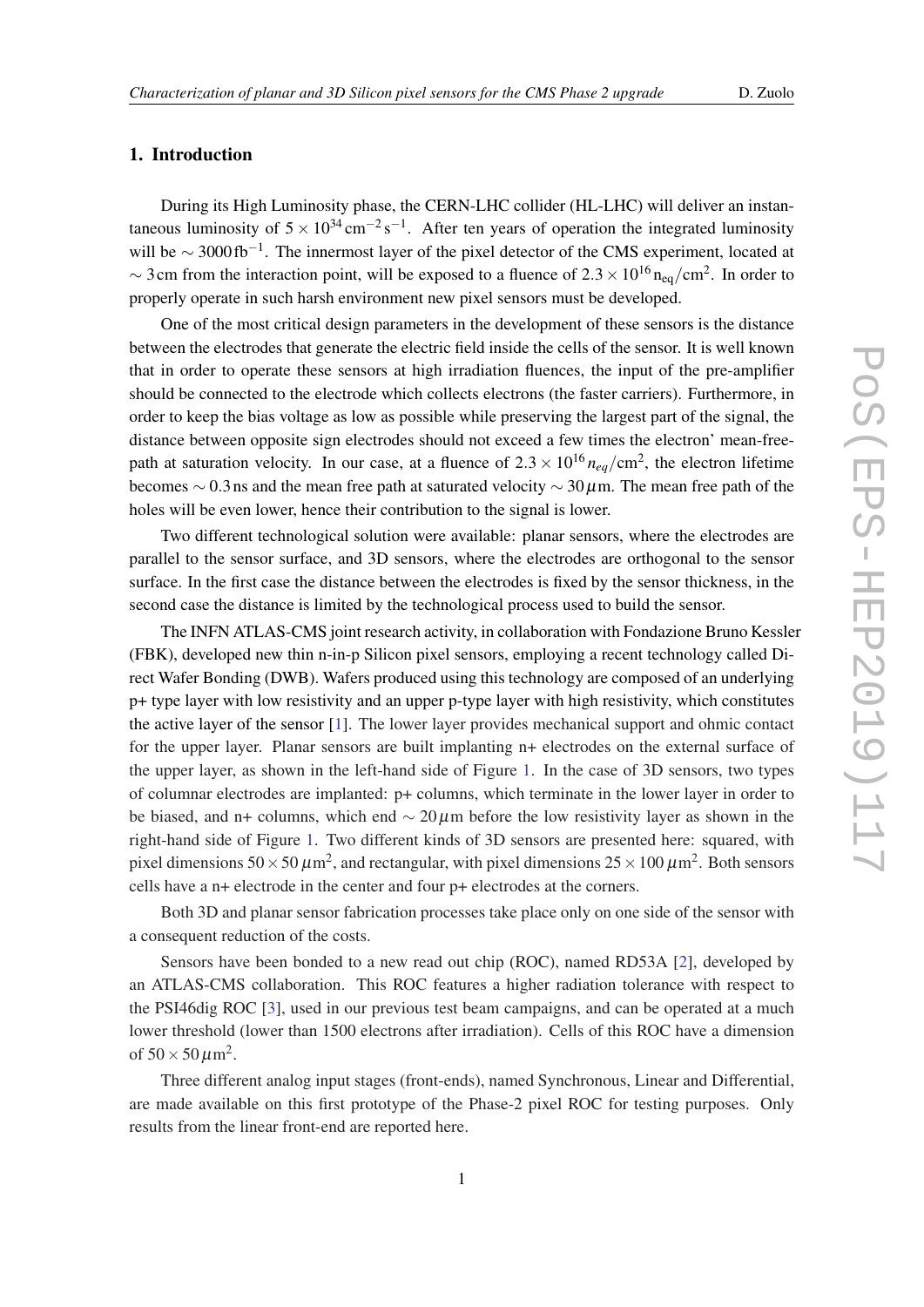# 1. Introduction

During its High Luminosity phase, the CERN-LHC collider (HL-LHC) will deliver an instantaneous luminosity of  $5 \times 10^{34}$  cm<sup>-2</sup>s<sup>-1</sup>. After ten years of operation the integrated luminosity will be  $\sim$  3000 fb<sup>-1</sup>. The innermost layer of the pixel detector of the CMS experiment, located at  $\sim$  3 cm from the interaction point, will be exposed to a fluence of 2.3  $\times$  10<sup>16</sup> n<sub>eq</sub>/cm<sup>2</sup>. In order to properly operate in such harsh environment new pixel sensors must be developed.

One of the most critical design parameters in the development of these sensors is the distance between the electrodes that generate the electric field inside the cells of the sensor. It is well known that in order to operate these sensors at high irradiation fluences, the input of the pre-amplifier should be connected to the electrode which collects electrons (the faster carriers). Furthermore, in order to keep the bias voltage as low as possible while preserving the largest part of the signal, the distance between opposite sign electrodes should not exceed a few times the electron' mean-freepath at saturation velocity. In our case, at a fluence of  $2.3 \times 10^{16} n_{eq}/\text{cm}^2$ , the electron lifetime becomes  $\sim$  0.3 ns and the mean free path at saturated velocity  $\sim$  30  $\mu$ m. The mean free path of the holes will be even lower, hence their contribution to the signal is lower.

Two different technological solution were available: planar sensors, where the electrodes are parallel to the sensor surface, and 3D sensors, where the electrodes are orthogonal to the sensor surface. In the first case the distance between the electrodes is fixed by the sensor thickness, in the second case the distance is limited by the technological process used to build the sensor.

The INFN ATLAS-CMS joint research activity, in collaboration with Fondazione Bruno Kessler (FBK), developed new thin n-in-p Silicon pixel sensors, employing a recent technology called Direct Wafer Bonding (DWB). Wafers produced using this technology are composed of an underlying p+ type layer with low resistivity and an upper p-type layer with high resistivity, which constitutes the active layer of the sensor [\[1\]](#page-5-0). The lower layer provides mechanical support and ohmic contact for the upper layer. Planar sensors are built implanting n+ electrodes on the external surface of the upper layer, as shown in the left-hand side of Figure [1](#page-2-0). In the case of 3D sensors, two types of columnar electrodes are implanted: p+ columns, which terminate in the lower layer in order to be biased, and n+ columns, which end  $\sim 20 \mu$ m before the low resistivity layer as shown in the right-hand side of Figure [1.](#page-2-0) Two different kinds of 3D sensors are presented here: squared, with pixel dimensions 50  $\times$  50  $\mu$ m<sup>2</sup>, and rectangular, with pixel dimensions 25  $\times$  100  $\mu$ m<sup>2</sup>. Both sensors cells have a n+ electrode in the center and four p+ electrodes at the corners.

Both 3D and planar sensor fabrication processes take place only on one side of the sensor with a consequent reduction of the costs.

Sensors have been bonded to a new read out chip (ROC), named RD53A [[2](#page-5-0)], developed by an ATLAS-CMS collaboration. This ROC features a higher radiation tolerance with respect to the PSI46dig ROC [\[3\]](#page-5-0), used in our previous test beam campaigns, and can be operated at a much lower threshold (lower than 1500 electrons after irradiation). Cells of this ROC have a dimension of  $50 \times 50 \,\mu \mathrm{m}^2$ .

Three different analog input stages (front-ends), named Synchronous, Linear and Differential, are made available on this first prototype of the Phase-2 pixel ROC for testing purposes. Only results from the linear front-end are reported here.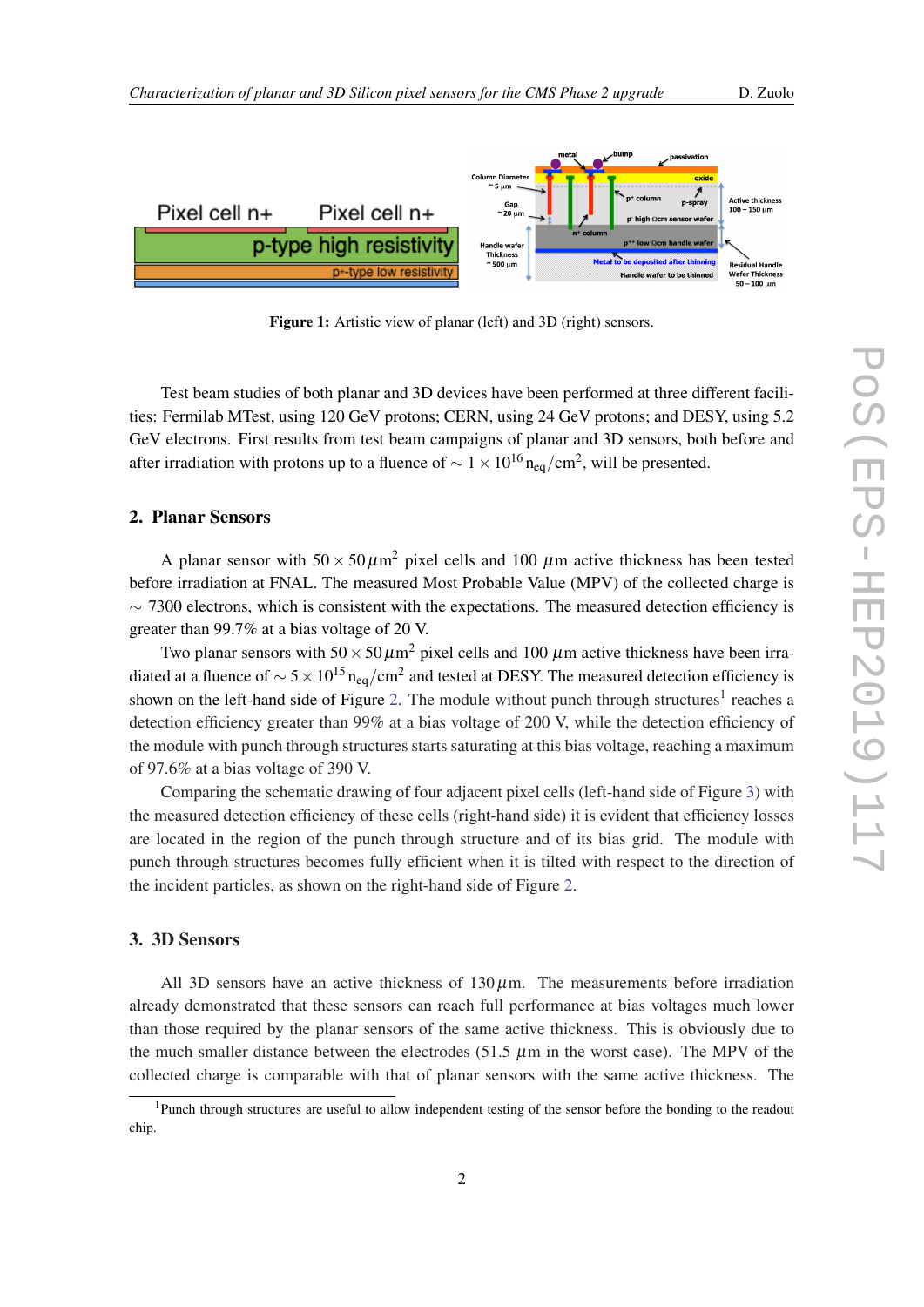<span id="page-2-0"></span>

Figure 1: Artistic view of planar (left) and 3D (right) sensors.

Test beam studies of both planar and 3D devices have been performed at three different facilities: Fermilab MTest, using 120 GeV protons; CERN, using 24 GeV protons; and DESY, using 5.2 GeV electrons. First results from test beam campaigns of planar and 3D sensors, both before and after irradiation with protons up to a fluence of  $\sim 1 \times 10^{16}$  n<sub>eq</sub>/cm<sup>2</sup>, will be presented.

### 2. Planar Sensors

A planar sensor with  $50 \times 50 \mu m^2$  pixel cells and 100  $\mu$ m active thickness has been tested before irradiation at FNAL. The measured Most Probable Value (MPV) of the collected charge is  $\sim$  7300 electrons, which is consistent with the expectations. The measured detection efficiency is greater than 99.7% at a bias voltage of 20 V.

Two planar sensors with  $50 \times 50 \mu m^2$  pixel cells and 100  $\mu$ m active thickness have been irradiated at a fluence of  $\sim$  5  $\times$  10<sup>15</sup> n<sub>eq</sub>/cm<sup>2</sup> and tested at DESY. The measured detection efficiency is shown on the left-hand side of Figure [2](#page-3-0). The module without punch through structures<sup>1</sup> reaches a detection efficiency greater than 99% at a bias voltage of 200 V, while the detection efficiency of the module with punch through structures starts saturating at this bias voltage, reaching a maximum of 97.6% at a bias voltage of 390 V.

Comparing the schematic drawing of four adjacent pixel cells (left-hand side of Figure [3](#page-3-0)) with the measured detection efficiency of these cells (right-hand side) it is evident that efficiency losses are located in the region of the punch through structure and of its bias grid. The module with punch through structures becomes fully efficient when it is tilted with respect to the direction of the incident particles, as shown on the right-hand side of Figure [2](#page-3-0).

### 3. 3D Sensors

All 3D sensors have an active thickness of  $130 \mu$ m. The measurements before irradiation already demonstrated that these sensors can reach full performance at bias voltages much lower than those required by the planar sensors of the same active thickness. This is obviously due to the much smaller distance between the electrodes (51.5  $\mu$ m in the worst case). The MPV of the collected charge is comparable with that of planar sensors with the same active thickness. The

<sup>&</sup>lt;sup>1</sup>Punch through structures are useful to allow independent testing of the sensor before the bonding to the readout chip.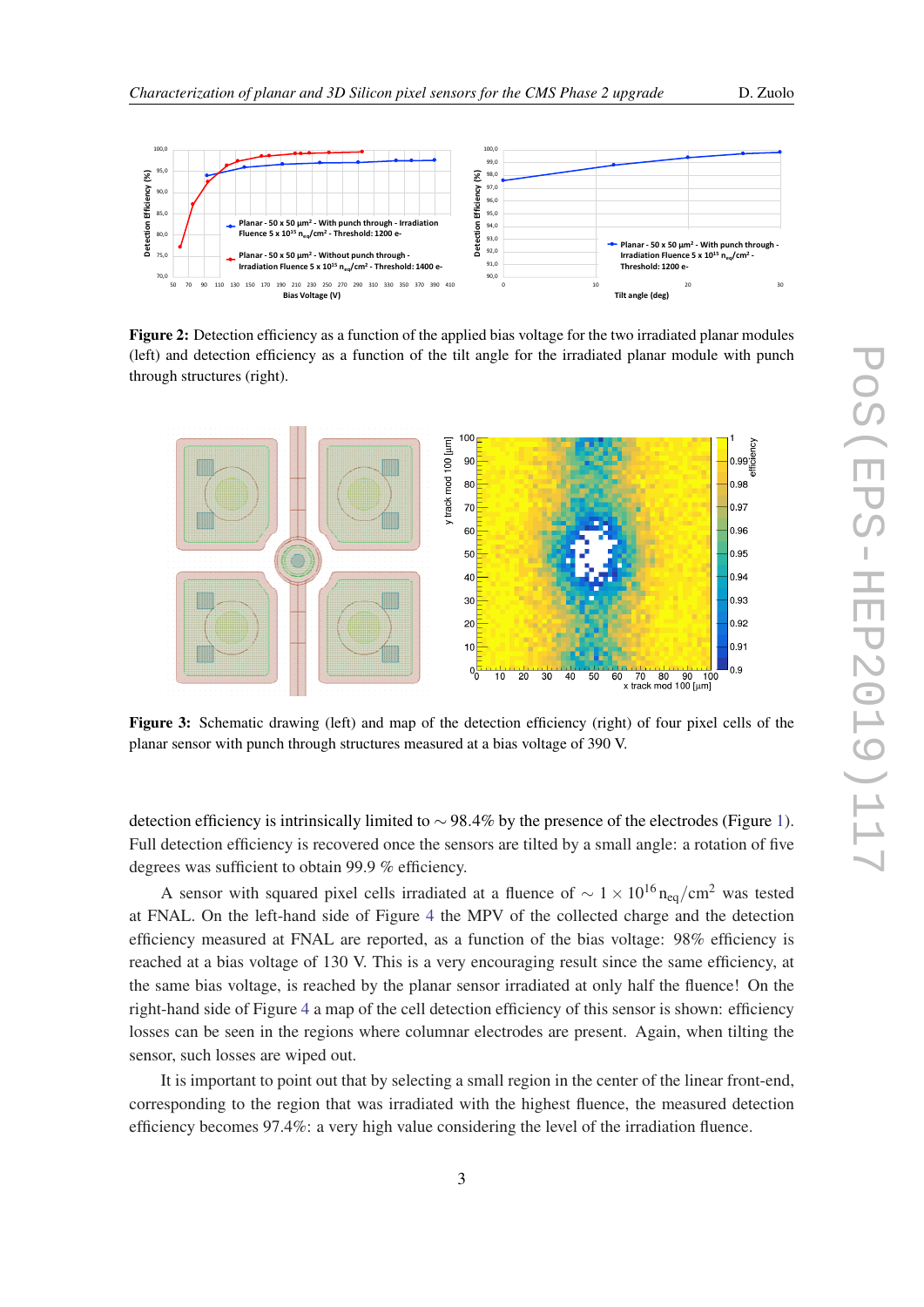<span id="page-3-0"></span>

Figure 2: Detection efficiency as a function of the applied bias voltage for the two irradiated planar modules (left) and detection efficiency as a function of the tilt angle for the irradiated planar module with punch through structures (right).



Figure 3: Schematic drawing (left) and map of the detection efficiency (right) of four pixel cells of the planar sensor with punch through structures measured at a bias voltage of 390 V.

detection efficiency is intrinsically limited to  $\sim$  98.4% by the presence of the electrodes (Figure [1\)](#page-2-0). Full detection efficiency is recovered once the sensors are tilted by a small angle: a rotation of five degrees was sufficient to obtain 99.9 % efficiency.

A sensor with squared pixel cells irradiated at a fluence of  $\sim 1 \times 10^{16}$  n<sub>eq</sub>/cm<sup>2</sup> was tested at FNAL. On the left-hand side of Figure [4](#page-4-0) the MPV of the collected charge and the detection efficiency measured at FNAL are reported, as a function of the bias voltage: 98% efficiency is reached at a bias voltage of 130 V. This is a very encouraging result since the same efficiency, at the same bias voltage, is reached by the planar sensor irradiated at only half the fluence! On the right-hand side of Figure [4](#page-4-0) a map of the cell detection efficiency of this sensor is shown: efficiency losses can be seen in the regions where columnar electrodes are present. Again, when tilting the sensor, such losses are wiped out.

It is important to point out that by selecting a small region in the center of the linear front-end, corresponding to the region that was irradiated with the highest fluence, the measured detection efficiency becomes 97.4%: a very high value considering the level of the irradiation fluence.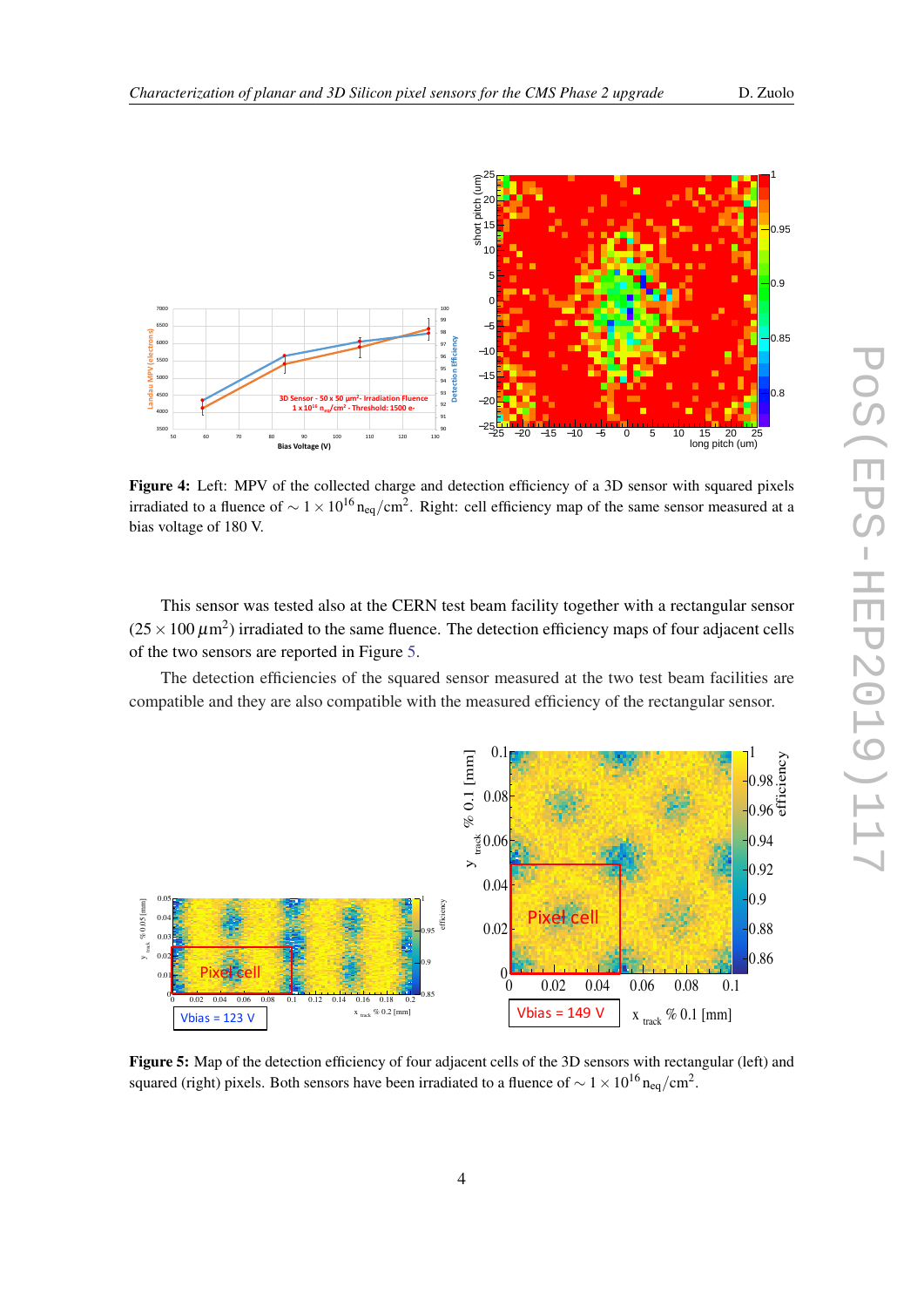<span id="page-4-0"></span>

Figure 4: Left: MPV of the collected charge and detection efficiency of a 3D sensor with squared pixels irradiated to a fluence of  $\sim 1 \times 10^{16}$  n<sub>eq</sub>/cm<sup>2</sup>. Right: cell efficiency map of the same sensor measured at a bias voltage of 180 V.

This sensor was tested also at the CERN test beam facility together with a rectangular sensor  $(25 \times 100 \,\mu\text{m}^2)$  irradiated to the same fluence. The detection efficiency maps of four adjacent cells of the two sensors are reported in Figure 5.

The detection efficiencies of the squared sensor measured at the two test beam facilities are compatible and they are also compatible with the measured efficiency of the rectangular sensor.



Figure 5: Map of the detection efficiency of four adjacent cells of the 3D sensors with rectangular (left) and squared (right) pixels. Both sensors have been irradiated to a fluence of  $\sim$  1  $\times$  10<sup>16</sup> n<sub>eq</sub>/cm<sup>2</sup>.